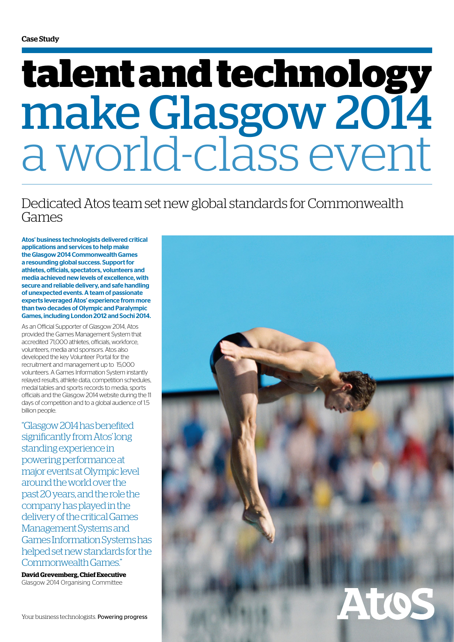# a world-class event **talent and technology**  make Glasgow 2014

### Dedicated Atos team set new global standards for Commonwealth Games

Atos' business technologists delivered critical applications and services to help make the Glasgow 2014 Commonwealth Games a resounding global success. Support for athletes, officials, spectators, volunteers and media achieved new levels of excellence, with secure and reliable delivery, and safe handling of unexpected events. A team of passionate experts leveraged Atos' experience from more than two decades of Olympic and Paralympic Games, including London 2012 and Sochi 2014.

As an Official Supporter of Glasgow 2014, Atos provided the Games Management System that accredited 71,000 athletes, officials, workforce, volunteers, media and sponsors. Atos also developed the key Volunteer Portal for the recruitment and management up to 15,000 volunteers. A Games Information System instantly relayed results, athlete data, competition schedules, medal tables and sports records to media, sports officials and the Glasgow 2014 website during the 11 days of competition and to a global audience of 1.5 billion people.

"Glasgow 2014 has benefited significantly from Atos' long standing experience in powering performance at major events at Olympic level around the world over the past 20 years, and the role the company has played in the delivery of the critical Games Management Systems and Games Information Systems has helped set new standards for the Commonwealth Games."

**David Grevemberg, Chief Executive**  Glasgow 2014 Organising Committee

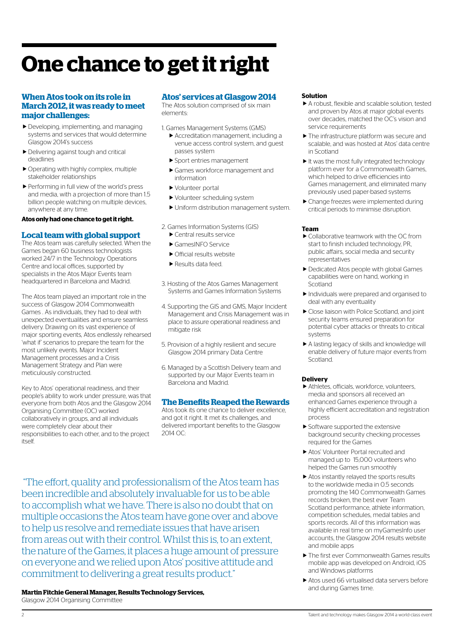## **One chance to get it right**

#### **When Atos took on its role in March 2012, it was ready to meet major challenges:**

- Developing, implementing, and managing systems and services that would determine Glasgow 2014's success
- Delivering against tough and critical deadlines
- $\blacktriangleright$  Operating with highly complex, multiple stakeholder relationships
- Performing in full view of the world's press and media, with a projection of more than 1.5 billion people watching on multiple devices, anywhere at any time.

#### **Atos only had one chance to get it right.**

#### **Local team with global support**

The Atos team was carefully selected. When the Games began 60 business technologists worked 24/7 in the Technology Operations Centre and local offices, supported by specialists in the Atos Major Events team headquartered in Barcelona and Madrid.

The Atos team played an important role in the success of Glasgow 2014 Commonwealth Games . As individuals, they had to deal with unexpected eventualities and ensure seamless delivery. Drawing on its vast experience of major sporting events, Atos endlessly rehearsed 'what if' scenarios to prepare the team for the most unlikely events. Major Incident Management processes and a Crisis Management Strategy and Plan were meticulously constructed.

Key to Atos' operational readiness, and their people's ability to work under pressure, was that everyone from both Atos and the Glasgow 2014 Organising Committee (OC) worked collaboratively in groups, and all individuals were completely clear about their responsibilities to each other, and to the project itself.

#### **Atos' services at Glasgow 2014**

The Atos solution comprised of six main elements:

- 1. Games Management Systems (GMS) Accreditation management, including a
	- venue access control system, and guest passes system
	- Sport entries management
	- Games workforce management and information
	- Volunteer portal
	- Volunteer scheduling system
	- Uniform distribution management system.
- 2. Games Information Systems (GIS)
	- Central results service
	- ▶ GamesINFO Service
	- ▶ Official results website
	- Results data feed.
- 3. Hosting of the Atos Games Management Systems and Games Information Systems
- 4. Supporting the GIS and GMS, Major Incident Management and Crisis Management was in place to assure operational readiness and mitigate risk
- 5. Provision of a highly resilient and secure Glasgow 2014 primary Data Centre
- 6. Managed by a Scottish Delivery team and supported by our Major Events team in Barcelona and Madrid.

#### **The Benefits Reaped the Rewards**

Atos took its one chance to deliver excellence, and got it right. It met its challenges, and delivered important benefits to the Glasgow 2014 OC:

 "The effort, quality and professionalism of the Atos team has been incredible and absolutely invaluable for us to be able to accomplish what we have. There is also no doubt that on multiple occasions the Atos team have gone over and above to help us resolve and remediate issues that have arisen from areas out with their control. Whilst this is, to an extent, the nature of the Games, it places a huge amount of pressure on everyone and we relied upon Atos' positive attitude and commitment to delivering a great results product."

**Martin Fitchie General Manager, Results Technology Services,**  Glasgow 2014 Organising Committee

#### **Solution**

- A robust, flexible and scalable solution, tested and proven by Atos at major global events over decades, matched the OC's vision and service requirements
- $\blacktriangleright$  The infrastructure platform was secure and scalable, and was hosted at Atos' data centre in Scotland
- $\blacktriangleright$  It was the most fully integrated technology platform ever for a Commonwealth Games, which helped to drive efficiencies into Games management, and eliminated many previously used paper-based systems
- Change freezes were implemented during critical periods to minimise disruption.

#### **Team**

- Collaborative teamwork with the OC from start to finish included technology, PR, public affairs, social media and security representatives
- Dedicated Atos people with global Games capabilities were on hand, working in Scotland
- Individuals were prepared and organised to deal with any eventuality
- Close liaison with Police Scotland, and joint security teams ensured preparation for potential cyber attacks or threats to critical systems
- A lasting legacy of skills and knowledge will enable delivery of future major events from **Scotland**

#### **Delivery**

- Athletes, officials, workforce, volunteers, media and sponsors all received an enhanced Games experience through a highly efficient accreditation and registration process
- Software supported the extensive background security checking processes required for the Games
- Atos' Volunteer Portal recruited and managed up to 15,000 volunteers who helped the Games run smoothly
- Atos instantly relayed the sports results to the worldwide media in 0.5 seconds promoting the 140 Commonwealth Games records broken, the best ever Team Scotland performance, athlete information, competition schedules, medal tables and sports records. All of this information was available in real time on myGamesInfo user accounts, the Glasgow 2014 results website and mobile apps
- $\blacktriangleright$  The first ever Commonwealth Games results mobile app was developed on Android, iOS and Windows platforms
- ▶ Atos used 66 virtualised data servers before and during Games time.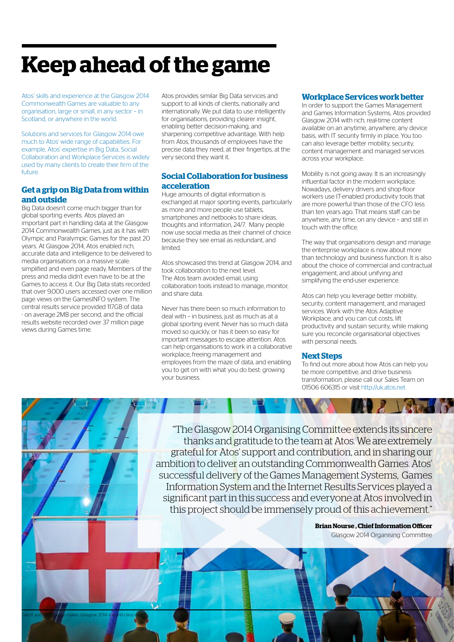### **Keep ahead of the game**

Atos' skills and experience at the Glasgow 2014 Commonwealth Games are valuable to any organisation, large or small, in any sector – in Scotland, or anywhere in the world.

Solutions and services for Glasgow 2014 owe much to Atos' wide range of capabilities. For example, Atos' expertise in Big Data, Social Collaboration and Workplace Services is widely used by many clients to create their firm of the future.

#### **Get a grip on Big Data from within and outside**

Big Data doesn't come much bigger than for global sporting events. Atos played an important part in handling data at the Glasgow 2014 Commonwealth Games, just as it has with Olympic and Paralympic Games for the past 20 years. At Glasgow 2014, Atos enabled rich, accurate data and intelligence to be delivered to media organisations on a massive scale: simplified and even page ready. Members of the press and media didn't even have to be at the Games to access it. Our Big Data stats recorded that over 9,000 users accessed over one million page views on the GamesINFO system. The central results service provided 117GB of data - on average 2MB per second, and the official results website recorded over 37 million page views during Games time.

Atos provides similar Big Data services and support to all kinds of clients, nationally and internationally. We put data to use intelligently for organisations, providing clearer insight, enabling better decision-making, and sharpening competitive advantage. With help from Atos, thousands of employees have the precise data they need, at their fingertips, at the very second they want it.

#### **Social Collaboration for business acceleration**

Huge amounts of digital information is exchanged at major sporting events, particularly as more and more people use tablets, smartphones and netbooks to share ideas, thoughts and information, 24/7. Many people now use social media as their channel of choice because they see email as redundant, and limited.

Atos showcased this trend at Glasgow 2014, and took collaboration to the next level. The Atos team avoided email, using collaboration tools instead to manage, monitor, and share data.

Never has there been so much information to deal with – in business, just as much as at a global sporting event. Never has so much data moved so quickly, or has it been so easy for important messages to escape attention. Atos can help organisations to work in a collaborative workplace, freeing management and employees from the maze of data, and enabling you to get on with what you do best: growing your business.

Talent and technology makes Glasgow 2014 a world-class event 3

#### **Workplace Services work better**

In order to support the Games Management and Games Information Systems, Atos provided Glasgow 2014 with rich, real-time content available on an anytime, anywhere, any device basis, with IT security firmly in place. You too can also leverage better mobility, security, content management and managed services across your workplace.

Mobility is not going away. It is an increasingly influential factor in the modern workplace. Nowadays, delivery drivers and shop-floor workers use IT-enabled productivity tools that are more powerful than those of the CFO less than ten years ago. That means staff can be anywhere, any time, on any device – and still in touch with the office.

The way that organisations design and manage the enterprise workplace is now about more than technology and business function. It is also about the choice of commercial and contractual engagement, and about unifying and simplifying the end-user experience.

Atos can help you leverage better mobility, security, content management, and managed services. Work with the Atos Adaptive Workplace, and you can cut costs, lift productivity and sustain security, while making sure you reconcile organisational objectives with personal needs.

#### **Next Steps**

To find out more about how Atos can help you be more competitive, and drive business transformation, please call our Sales Team on 01506 606315 or visit http://uk.atos.net

 $\mathbf{r}$ 

"The Glasgow 2014 Organising Committee extends its sincere thanks and gratitude to the team at Atos. We are extremely grateful for Atos' support and contribution, and in sharing our ambition to deliver an outstanding Commonwealth Games. Atos' successful delivery of the Games Management Systems, Games Information System and the Internet Results Services played a significant part in this success and everyone at Atos involved in this project should be immensely proud of this achievement."

**Brian Nourse , Chief Information Officer**

Glasgow 2014 Organising Committee